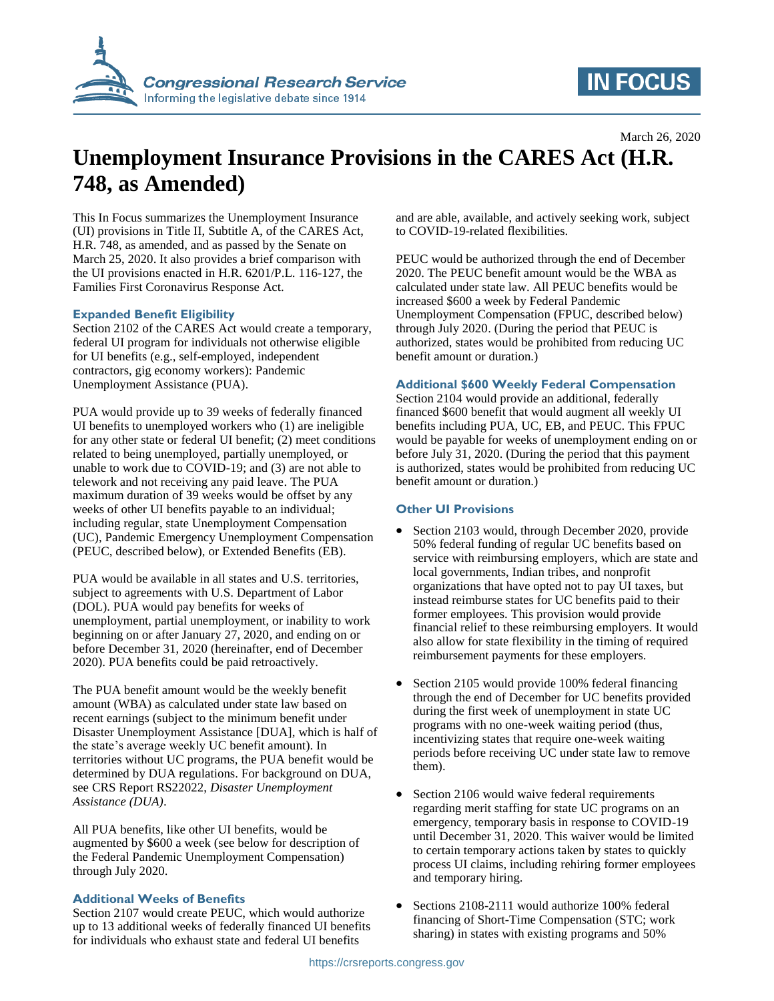

# **IN FOCUS**

March 26, 2020

# **Unemployment Insurance Provisions in the CARES Act (H.R. 748, as Amended)**

This In Focus summarizes the Unemployment Insurance (UI) provisions in Title II, Subtitle A, of the CARES Act, H.R. 748, as amended, and as passed by the Senate on March 25, 2020. It also provides a brief comparison with the UI provisions enacted in H.R. 6201/P.L. 116-127, the Families First Coronavirus Response Act.

#### **Expanded Benefit Eligibility**

Section 2102 of the CARES Act would create a temporary, federal UI program for individuals not otherwise eligible for UI benefits (e.g., self-employed, independent contractors, gig economy workers): Pandemic Unemployment Assistance (PUA).

PUA would provide up to 39 weeks of federally financed UI benefits to unemployed workers who (1) are ineligible for any other state or federal UI benefit; (2) meet conditions related to being unemployed, partially unemployed, or unable to work due to COVID-19; and (3) are not able to telework and not receiving any paid leave. The PUA maximum duration of 39 weeks would be offset by any weeks of other UI benefits payable to an individual; including regular, state Unemployment Compensation (UC), Pandemic Emergency Unemployment Compensation (PEUC, described below), or Extended Benefits (EB).

PUA would be available in all states and U.S. territories, subject to agreements with U.S. Department of Labor (DOL). PUA would pay benefits for weeks of unemployment, partial unemployment, or inability to work beginning on or after January 27, 2020, and ending on or before December 31, 2020 (hereinafter, end of December 2020). PUA benefits could be paid retroactively.

The PUA benefit amount would be the weekly benefit amount (WBA) as calculated under state law based on recent earnings (subject to the minimum benefit under Disaster Unemployment Assistance [DUA], which is half of the state's average weekly UC benefit amount). In territories without UC programs, the PUA benefit would be determined by DUA regulations. For background on DUA, see CRS Report RS22022, *Disaster Unemployment Assistance (DUA)*.

All PUA benefits, like other UI benefits, would be augmented by \$600 a week (see below for description of the Federal Pandemic Unemployment Compensation) through July 2020.

## **Additional Weeks of Benefits**

Section 2107 would create PEUC, which would authorize up to 13 additional weeks of federally financed UI benefits for individuals who exhaust state and federal UI benefits

and are able, available, and actively seeking work, subject to COVID-19-related flexibilities.

PEUC would be authorized through the end of December 2020. The PEUC benefit amount would be the WBA as calculated under state law. All PEUC benefits would be increased \$600 a week by Federal Pandemic Unemployment Compensation (FPUC, described below) through July 2020. (During the period that PEUC is authorized, states would be prohibited from reducing UC benefit amount or duration.)

### **Additional \$600 Weekly Federal Compensation**

Section 2104 would provide an additional, federally financed \$600 benefit that would augment all weekly UI benefits including PUA, UC, EB, and PEUC. This FPUC would be payable for weeks of unemployment ending on or before July 31, 2020. (During the period that this payment is authorized, states would be prohibited from reducing UC benefit amount or duration.)

#### **Other UI Provisions**

- Section 2103 would, through December 2020, provide 50% federal funding of regular UC benefits based on service with reimbursing employers, which are state and local governments, Indian tribes, and nonprofit organizations that have opted not to pay UI taxes, but instead reimburse states for UC benefits paid to their former employees. This provision would provide financial relief to these reimbursing employers. It would also allow for state flexibility in the timing of required reimbursement payments for these employers.
- Section 2105 would provide 100% federal financing through the end of December for UC benefits provided during the first week of unemployment in state UC programs with no one-week waiting period (thus, incentivizing states that require one-week waiting periods before receiving UC under state law to remove them).
- Section 2106 would waive federal requirements regarding merit staffing for state UC programs on an emergency, temporary basis in response to COVID-19 until December 31, 2020. This waiver would be limited to certain temporary actions taken by states to quickly process UI claims, including rehiring former employees and temporary hiring.
- Sections 2108-2111 would authorize 100% federal financing of Short-Time Compensation (STC; work sharing) in states with existing programs and 50%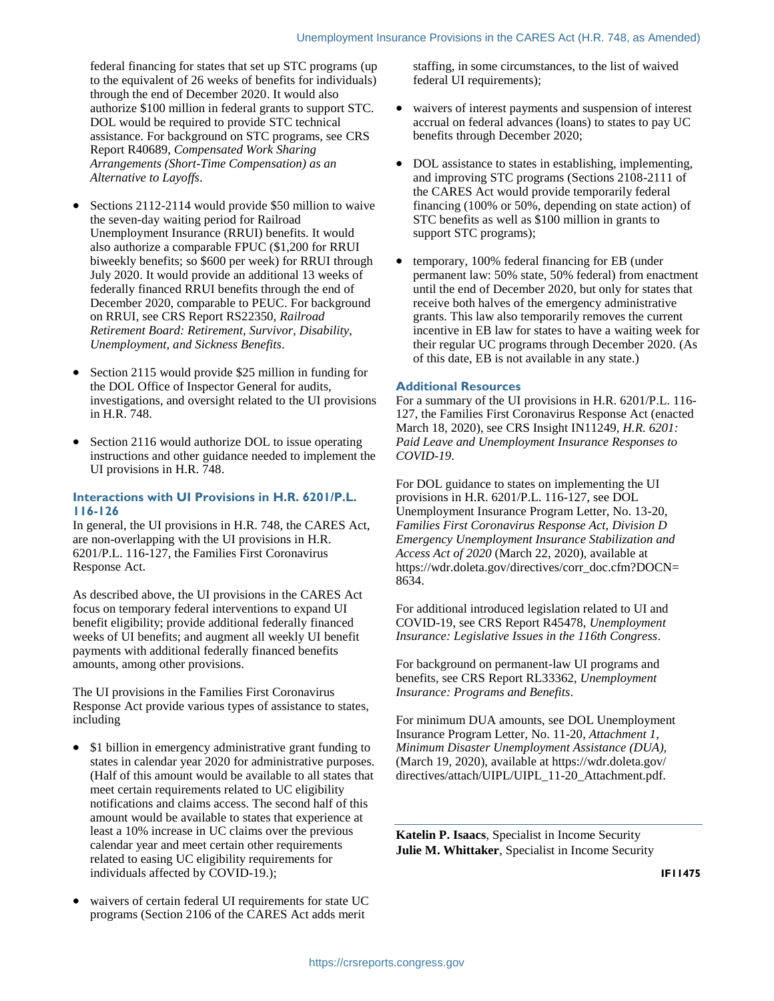federal financing for states that set up STC programs (up to the equivalent of 26 weeks of benefits for individuals) through the end of December 2020. It would also authorize \$100 million in federal grants to support STC. DOL would be required to provide STC technical assistance. For background on STC programs, see CRS Report R40689, *Compensated Work Sharing Arrangements (Short-Time Compensation) as an Alternative to Layoffs*.

- Sections 2112-2114 would provide \$50 million to waive the seven-day waiting period for Railroad Unemployment Insurance (RRUI) benefits. It would also authorize a comparable FPUC (\$1,200 for RRUI biweekly benefits; so \$600 per week) for RRUI through July 2020. It would provide an additional 13 weeks of federally financed RRUI benefits through the end of December 2020, comparable to PEUC. For background on RRUI, see CRS Report RS22350, *Railroad Retirement Board: Retirement, Survivor, Disability, Unemployment, and Sickness Benefits*.
- Section 2115 would provide \$25 million in funding for the DOL Office of Inspector General for audits, investigations, and oversight related to the UI provisions in H.R. 748.
- Section 2116 would authorize DOL to issue operating instructions and other guidance needed to implement the UI provisions in H.R. 748.

#### **Interactions with UI Provisions in H.R. 6201/P.L. 116-126**

In general, the UI provisions in H.R. 748, the CARES Act, are non-overlapping with the UI provisions in H.R. 6201/P.L. 116-127, the Families First Coronavirus Response Act.

As described above, the UI provisions in the CARES Act focus on temporary federal interventions to expand UI benefit eligibility; provide additional federally financed weeks of UI benefits; and augment all weekly UI benefit payments with additional federally financed benefits amounts, among other provisions.

The UI provisions in the Families First Coronavirus Response Act provide various types of assistance to states, including

- \$1 billion in emergency administrative grant funding to states in calendar year 2020 for administrative purposes. (Half of this amount would be available to all states that meet certain requirements related to UC eligibility notifications and claims access. The second half of this amount would be available to states that experience at least a 10% increase in UC claims over the previous calendar year and meet certain other requirements related to easing UC eligibility requirements for individuals affected by COVID-19.);
- waivers of certain federal UI requirements for state UC programs (Section 2106 of the CARES Act adds merit

staffing, in some circumstances, to the list of waived federal UI requirements);

- waivers of interest payments and suspension of interest accrual on federal advances (loans) to states to pay UC benefits through December 2020;
- DOL assistance to states in establishing, implementing, and improving STC programs (Sections 2108-2111 of the CARES Act would provide temporarily federal financing (100% or 50%, depending on state action) of STC benefits as well as \$100 million in grants to support STC programs);
- temporary, 100% federal financing for EB (under permanent law: 50% state, 50% federal) from enactment until the end of December 2020, but only for states that receive both halves of the emergency administrative grants. This law also temporarily removes the current incentive in EB law for states to have a waiting week for their regular UC programs through December 2020. (As of this date, EB is not available in any state.)

## **Additional Resources**

For a summary of the UI provisions in H.R. 6201/P.L. 116- 127, the Families First Coronavirus Response Act (enacted March 18, 2020), see CRS Insight IN11249, *H.R. 6201: Paid Leave and Unemployment Insurance Responses to COVID-19*.

For DOL guidance to states on implementing the UI provisions in H.R. 6201/P.L. 116-127, see DOL Unemployment Insurance Program Letter, No. 13-20, *Families First Coronavirus Response Act, Division D Emergency Unemployment Insurance Stabilization and Access Act of 2020* (March 22, 2020), available at https://wdr.doleta.gov/directives/corr\_doc.cfm?DOCN= 8634.

For additional introduced legislation related to UI and COVID-19, see CRS Report R45478, *Unemployment Insurance: Legislative Issues in the 116th Congress*.

For background on permanent-law UI programs and benefits, see CRS Report RL33362, *Unemployment Insurance: Programs and Benefits*.

For minimum DUA amounts, see DOL Unemployment Insurance Program Letter, No. 11-20, *Attachment 1*, *Minimum Disaster Unemployment Assistance (DUA),* (March 19, 2020), available at https://wdr.doleta.gov/ directives/attach/UIPL/UIPL\_11-20\_Attachment.pdf.

**Katelin P. Isaacs**, Specialist in Income Security **Julie M. Whittaker**, Specialist in Income Security

**IF11475**